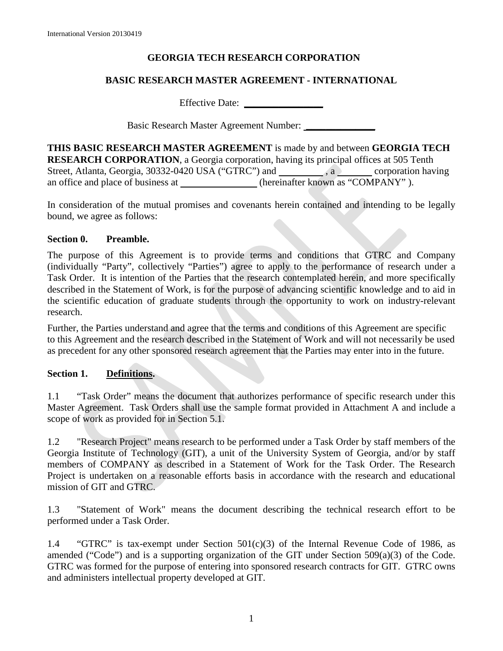## **GEORGIA TECH RESEARCH CORPORATION**

## **BASIC RESEARCH MASTER AGREEMENT - INTERNATIONAL**

Effective Date: **\_\_\_\_\_\_\_\_\_\_\_\_\_\_\_\_**

Basic Research Master Agreement Number: **\_\_\_\_\_\_\_\_\_\_\_\_\_\_**

**THIS BASIC RESEARCH MASTER AGREEMENT** is made by and between **GEORGIA TECH RESEARCH CORPORATION**, a Georgia corporation, having its principal offices at 505 Tenth Street, Atlanta, Georgia, 30332-0420 USA ("GTRC") and  $\qquad \qquad$ , a corporation having an office and place of business at (hereinafter known as "COMPANY").

In consideration of the mutual promises and covenants herein contained and intending to be legally bound, we agree as follows:

## **Section 0. Preamble.**

The purpose of this Agreement is to provide terms and conditions that GTRC and Company (individually "Party", collectively "Parties") agree to apply to the performance of research under a Task Order. It is intention of the Parties that the research contemplated herein, and more specifically described in the Statement of Work, is for the purpose of advancing scientific knowledge and to aid in the scientific education of graduate students through the opportunity to work on industry-relevant research.

Further, the Parties understand and agree that the terms and conditions of this Agreement are specific to this Agreement and the research described in the Statement of Work and will not necessarily be used as precedent for any other sponsored research agreement that the Parties may enter into in the future.

## **Section 1. Definitions.**

1.1 "Task Order" means the document that authorizes performance of specific research under this Master Agreement. Task Orders shall use the sample format provided in Attachment A and include a scope of work as provided for in Section 5.1.

1.2 "Research Project" means research to be performed under a Task Order by staff members of the Georgia Institute of Technology (GIT), a unit of the University System of Georgia, and/or by staff members of COMPANY as described in a Statement of Work for the Task Order. The Research Project is undertaken on a reasonable efforts basis in accordance with the research and educational mission of GIT and GTRC.

1.3 "Statement of Work" means the document describing the technical research effort to be performed under a Task Order.

1.4 "GTRC" is tax-exempt under Section  $501(c)(3)$  of the Internal Revenue Code of 1986, as amended ("Code") and is a supporting organization of the GIT under Section 509(a)(3) of the Code. GTRC was formed for the purpose of entering into sponsored research contracts for GIT. GTRC owns and administers intellectual property developed at GIT.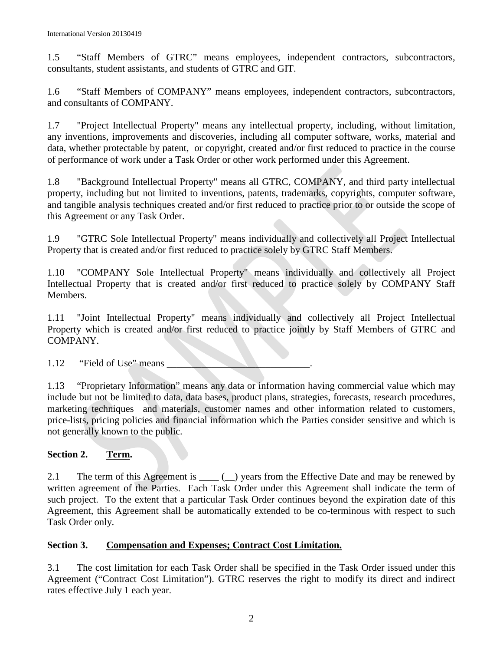1.5 "Staff Members of GTRC" means employees, independent contractors, subcontractors, consultants, student assistants, and students of GTRC and GIT.

1.6 "Staff Members of COMPANY" means employees, independent contractors, subcontractors, and consultants of COMPANY.

1.7 "Project Intellectual Property" means any intellectual property, including, without limitation, any inventions, improvements and discoveries, including all computer software, works, material and data, whether protectable by patent, or copyright, created and/or first reduced to practice in the course of performance of work under a Task Order or other work performed under this Agreement.

1.8 "Background Intellectual Property" means all GTRC, COMPANY, and third party intellectual property, including but not limited to inventions, patents, trademarks, copyrights, computer software, and tangible analysis techniques created and/or first reduced to practice prior to or outside the scope of this Agreement or any Task Order.

1.9 "GTRC Sole Intellectual Property" means individually and collectively all Project Intellectual Property that is created and/or first reduced to practice solely by GTRC Staff Members.

1.10 "COMPANY Sole Intellectual Property" means individually and collectively all Project Intellectual Property that is created and/or first reduced to practice solely by COMPANY Staff Members.

1.11 "Joint Intellectual Property" means individually and collectively all Project Intellectual Property which is created and/or first reduced to practice jointly by Staff Members of GTRC and COMPANY.

1.12 "Field of Use" means

1.13 "Proprietary Information" means any data or information having commercial value which may include but not be limited to data, data bases, product plans, strategies, forecasts, research procedures, marketing techniques and materials, customer names and other information related to customers, price-lists, pricing policies and financial information which the Parties consider sensitive and which is not generally known to the public.

# **Section 2. Term.**

2.1 The term of this Agreement is \_\_\_\_ (\_) years from the Effective Date and may be renewed by written agreement of the Parties. Each Task Order under this Agreement shall indicate the term of such project. To the extent that a particular Task Order continues beyond the expiration date of this Agreement, this Agreement shall be automatically extended to be co-terminous with respect to such Task Order only.

# **Section 3. Compensation and Expenses; Contract Cost Limitation.**

3.1 The cost limitation for each Task Order shall be specified in the Task Order issued under this Agreement ("Contract Cost Limitation"). GTRC reserves the right to modify its direct and indirect rates effective July 1 each year.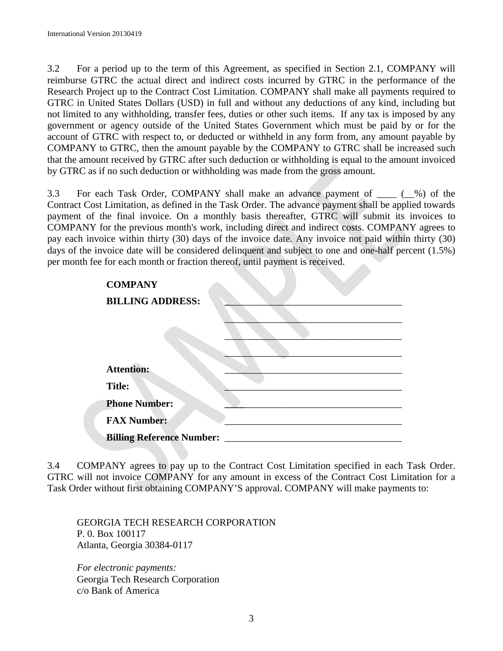3.2 For a period up to the term of this Agreement, as specified in Section 2.1, COMPANY will reimburse GTRC the actual direct and indirect costs incurred by GTRC in the performance of the Research Project up to the Contract Cost Limitation. COMPANY shall make all payments required to GTRC in United States Dollars (USD) in full and without any deductions of any kind, including but not limited to any withholding, transfer fees, duties or other such items. If any tax is imposed by any government or agency outside of the United States Government which must be paid by or for the account of GTRC with respect to, or deducted or withheld in any form from, any amount payable by COMPANY to GTRC, then the amount payable by the COMPANY to GTRC shall be increased such that the amount received by GTRC after such deduction or withholding is equal to the amount invoiced by GTRC as if no such deduction or withholding was made from the gross amount.

3.3 For each Task Order, COMPANY shall make an advance payment of \_\_\_\_ (\_\_%) of the Contract Cost Limitation, as defined in the Task Order. The advance payment shall be applied towards payment of the final invoice. On a monthly basis thereafter, GTRC will submit its invoices to COMPANY for the previous month's work, including direct and indirect costs. COMPANY agrees to pay each invoice within thirty (30) days of the invoice date. Any invoice not paid within thirty (30) days of the invoice date will be considered delinquent and subject to one and one-half percent (1.5%) per month fee for each month or fraction thereof, until payment is received.

| <b>COMPANY</b>                   |  |
|----------------------------------|--|
| <b>BILLING ADDRESS:</b>          |  |
|                                  |  |
|                                  |  |
|                                  |  |
| <b>Attention:</b>                |  |
| <b>Title:</b>                    |  |
| <b>Phone Number:</b>             |  |
| <b>FAX Number:</b>               |  |
| <b>Billing Reference Number:</b> |  |

3.4 COMPANY agrees to pay up to the Contract Cost Limitation specified in each Task Order. GTRC will not invoice COMPANY for any amount in excess of the Contract Cost Limitation for a Task Order without first obtaining COMPANY'S approval. COMPANY will make payments to:

GEORGIA TECH RESEARCH CORPORATION P. 0. Box 100117 Atlanta, Georgia 30384-0117

*For electronic payments:*  Georgia Tech Research Corporation c/o Bank of America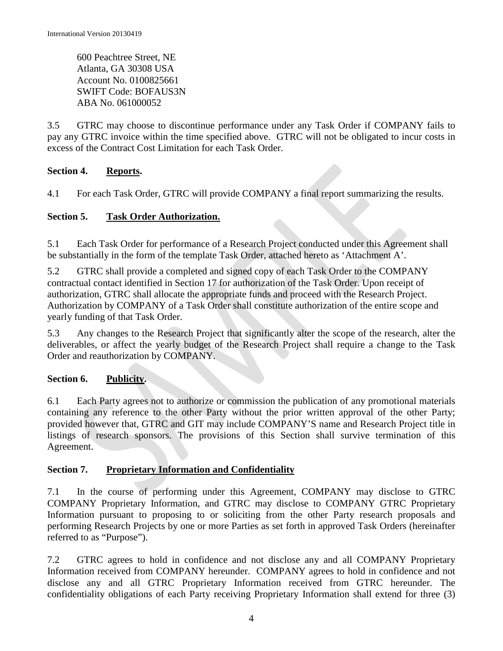600 Peachtree Street, NE Atlanta, GA 30308 USA Account No. 0100825661 SWIFT Code: BOFAUS3N ABA No. 061000052

3.5 GTRC may choose to discontinue performance under any Task Order if COMPANY fails to pay any GTRC invoice within the time specified above. GTRC will not be obligated to incur costs in excess of the Contract Cost Limitation for each Task Order.

# **Section 4. Reports.**

4.1 For each Task Order, GTRC will provide COMPANY a final report summarizing the results.

# **Section 5. Task Order Authorization.**

5.1 Each Task Order for performance of a Research Project conducted under this Agreement shall be substantially in the form of the template Task Order, attached hereto as 'Attachment A'.

5.2 GTRC shall provide a completed and signed copy of each Task Order to the COMPANY contractual contact identified in Section 17 for authorization of the Task Order. Upon receipt of authorization, GTRC shall allocate the appropriate funds and proceed with the Research Project. Authorization by COMPANY of a Task Order shall constitute authorization of the entire scope and yearly funding of that Task Order.

5.3 Any changes to the Research Project that significantly alter the scope of the research, alter the deliverables, or affect the yearly budget of the Research Project shall require a change to the Task Order and reauthorization by COMPANY.

# **Section 6. Publicity.**

6.1 Each Party agrees not to authorize or commission the publication of any promotional materials containing any reference to the other Party without the prior written approval of the other Party; provided however that, GTRC and GIT may include COMPANY'S name and Research Project title in listings of research sponsors. The provisions of this Section shall survive termination of this Agreement.

# **Section 7. Proprietary Information and Confidentiality**

7.1 In the course of performing under this Agreement, COMPANY may disclose to GTRC COMPANY Proprietary Information, and GTRC may disclose to COMPANY GTRC Proprietary Information pursuant to proposing to or soliciting from the other Party research proposals and performing Research Projects by one or more Parties as set forth in approved Task Orders (hereinafter referred to as "Purpose").

7.2 GTRC agrees to hold in confidence and not disclose any and all COMPANY Proprietary Information received from COMPANY hereunder. COMPANY agrees to hold in confidence and not disclose any and all GTRC Proprietary Information received from GTRC hereunder. The confidentiality obligations of each Party receiving Proprietary Information shall extend for three (3)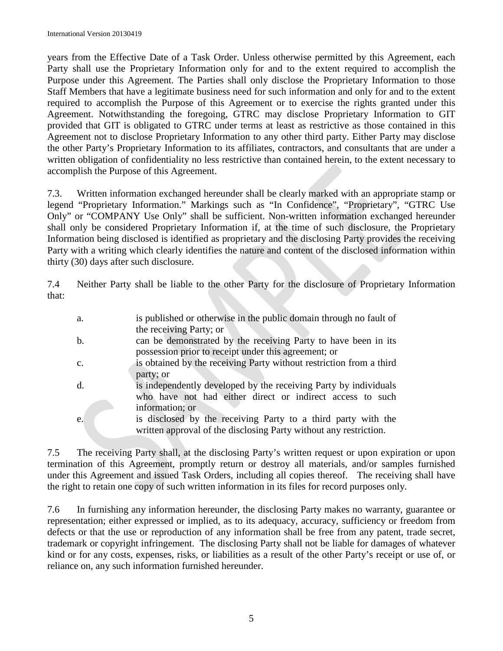years from the Effective Date of a Task Order. Unless otherwise permitted by this Agreement, each Party shall use the Proprietary Information only for and to the extent required to accomplish the Purpose under this Agreement. The Parties shall only disclose the Proprietary Information to those Staff Members that have a legitimate business need for such information and only for and to the extent required to accomplish the Purpose of this Agreement or to exercise the rights granted under this Agreement. Notwithstanding the foregoing, GTRC may disclose Proprietary Information to GIT provided that GIT is obligated to GTRC under terms at least as restrictive as those contained in this Agreement not to disclose Proprietary Information to any other third party. Either Party may disclose the other Party's Proprietary Information to its affiliates, contractors, and consultants that are under a written obligation of confidentiality no less restrictive than contained herein, to the extent necessary to accomplish the Purpose of this Agreement.

7.3. Written information exchanged hereunder shall be clearly marked with an appropriate stamp or legend "Proprietary Information." Markings such as "In Confidence", "Proprietary", "GTRC Use Only" or "COMPANY Use Only" shall be sufficient. Non-written information exchanged hereunder shall only be considered Proprietary Information if, at the time of such disclosure, the Proprietary Information being disclosed is identified as proprietary and the disclosing Party provides the receiving Party with a writing which clearly identifies the nature and content of the disclosed information within thirty (30) days after such disclosure.

7.4 Neither Party shall be liable to the other Party for the disclosure of Proprietary Information that:

| a.             | is published or otherwise in the public domain through no fault of                        |
|----------------|-------------------------------------------------------------------------------------------|
| b.             | the receiving Party; or<br>can be demonstrated by the receiving Party to have been in its |
|                | possession prior to receipt under this agreement; or                                      |
| $\mathbf{c}$ . | is obtained by the receiving Party without restriction from a third                       |
|                | party; or                                                                                 |
| $\mathbf{d}$ . | is independently developed by the receiving Party by individuals                          |
|                | who have not had either direct or indirect access to such<br>information; or              |
| e.             | is disclosed by the receiving Party to a third party with the                             |
|                | written approval of the disclosing Party without any restriction.                         |

7.5The receiving Party shall, at the disclosing Party's written request or upon expiration or upon termination of this Agreement, promptly return or destroy all materials, and/or samples furnished under this Agreement and issued Task Orders, including all copies thereof. The receiving shall have the right to retain one copy of such written information in its files for record purposes only.

7.6 In furnishing any information hereunder, the disclosing Party makes no warranty, guarantee or representation; either expressed or implied, as to its adequacy, accuracy, sufficiency or freedom from defects or that the use or reproduction of any information shall be free from any patent, trade secret, trademark or copyright infringement. The disclosing Party shall not be liable for damages of whatever kind or for any costs, expenses, risks, or liabilities as a result of the other Party's receipt or use of, or reliance on, any such information furnished hereunder.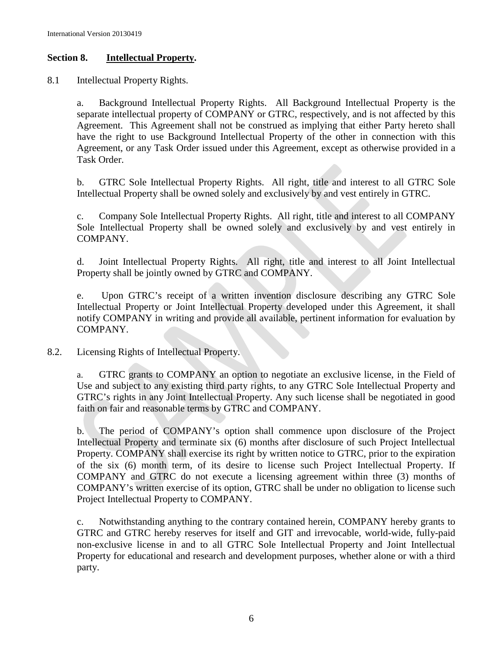## **Section 8. Intellectual Property.**

8.1 Intellectual Property Rights.

a. Background Intellectual Property Rights. All Background Intellectual Property is the separate intellectual property of COMPANY or GTRC, respectively, and is not affected by this Agreement. This Agreement shall not be construed as implying that either Party hereto shall have the right to use Background Intellectual Property of the other in connection with this Agreement, or any Task Order issued under this Agreement, except as otherwise provided in a Task Order.

b. GTRC Sole Intellectual Property Rights. All right, title and interest to all GTRC Sole Intellectual Property shall be owned solely and exclusively by and vest entirely in GTRC.

c. Company Sole Intellectual Property Rights. All right, title and interest to all COMPANY Sole Intellectual Property shall be owned solely and exclusively by and vest entirely in COMPANY.

d. Joint Intellectual Property Rights. All right, title and interest to all Joint Intellectual Property shall be jointly owned by GTRC and COMPANY.

e. Upon GTRC's receipt of a written invention disclosure describing any GTRC Sole Intellectual Property or Joint Intellectual Property developed under this Agreement, it shall notify COMPANY in writing and provide all available, pertinent information for evaluation by COMPANY.

8.2. Licensing Rights of Intellectual Property.

a. GTRC grants to COMPANY an option to negotiate an exclusive license, in the Field of Use and subject to any existing third party rights, to any GTRC Sole Intellectual Property and GTRC's rights in any Joint Intellectual Property. Any such license shall be negotiated in good faith on fair and reasonable terms by GTRC and COMPANY.

b. The period of COMPANY's option shall commence upon disclosure of the Project Intellectual Property and terminate six (6) months after disclosure of such Project Intellectual Property. COMPANY shall exercise its right by written notice to GTRC, prior to the expiration of the six (6) month term, of its desire to license such Project Intellectual Property. If COMPANY and GTRC do not execute a licensing agreement within three (3) months of COMPANY's written exercise of its option, GTRC shall be under no obligation to license such Project Intellectual Property to COMPANY.

c. Notwithstanding anything to the contrary contained herein, COMPANY hereby grants to GTRC and GTRC hereby reserves for itself and GIT and irrevocable, world-wide, fully-paid non-exclusive license in and to all GTRC Sole Intellectual Property and Joint Intellectual Property for educational and research and development purposes, whether alone or with a third party.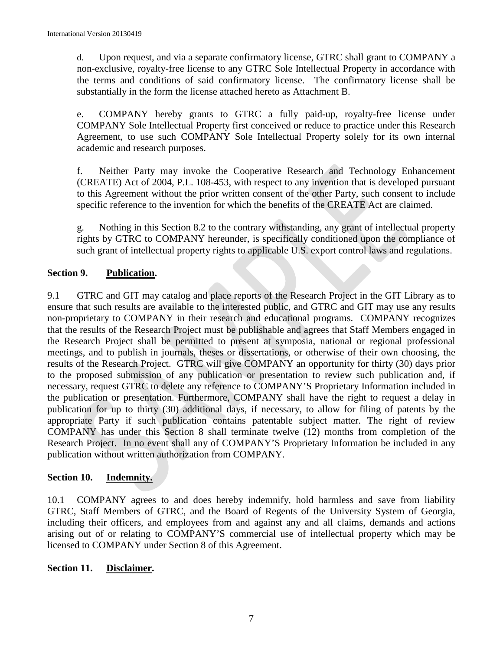d. Upon request, and via a separate confirmatory license, GTRC shall grant to COMPANY a non-exclusive, royalty-free license to any GTRC Sole Intellectual Property in accordance with the terms and conditions of said confirmatory license. The confirmatory license shall be substantially in the form the license attached hereto as Attachment B.

e. COMPANY hereby grants to GTRC a fully paid-up, royalty-free license under COMPANY Sole Intellectual Property first conceived or reduce to practice under this Research Agreement, to use such COMPANY Sole Intellectual Property solely for its own internal academic and research purposes.

f. Neither Party may invoke the Cooperative Research and Technology Enhancement (CREATE) Act of 2004, P.L. 108-453, with respect to any invention that is developed pursuant to this Agreement without the prior written consent of the other Party, such consent to include specific reference to the invention for which the benefits of the CREATE Act are claimed.

g. Nothing in this Section 8.2 to the contrary withstanding, any grant of intellectual property rights by GTRC to COMPANY hereunder, is specifically conditioned upon the compliance of such grant of intellectual property rights to applicable U.S. export control laws and regulations.

## **Section 9. Publication.**

9.1 GTRC and GIT may catalog and place reports of the Research Project in the GIT Library as to ensure that such results are available to the interested public, and GTRC and GIT may use any results non-proprietary to COMPANY in their research and educational programs. COMPANY recognizes that the results of the Research Project must be publishable and agrees that Staff Members engaged in the Research Project shall be permitted to present at symposia, national or regional professional meetings, and to publish in journals, theses or dissertations, or otherwise of their own choosing, the results of the Research Project. GTRC will give COMPANY an opportunity for thirty (30) days prior to the proposed submission of any publication or presentation to review such publication and, if necessary, request GTRC to delete any reference to COMPANY'S Proprietary Information included in the publication or presentation. Furthermore, COMPANY shall have the right to request a delay in publication for up to thirty (30) additional days, if necessary, to allow for filing of patents by the appropriate Party if such publication contains patentable subject matter. The right of review COMPANY has under this Section 8 shall terminate twelve (12) months from completion of the Research Project. In no event shall any of COMPANY'S Proprietary Information be included in any publication without written authorization from COMPANY.

## **Section 10. Indemnity.**

10.1 COMPANY agrees to and does hereby indemnify, hold harmless and save from liability GTRC, Staff Members of GTRC, and the Board of Regents of the University System of Georgia, including their officers, and employees from and against any and all claims, demands and actions arising out of or relating to COMPANY'S commercial use of intellectual property which may be licensed to COMPANY under Section 8 of this Agreement.

## **Section 11. Disclaimer.**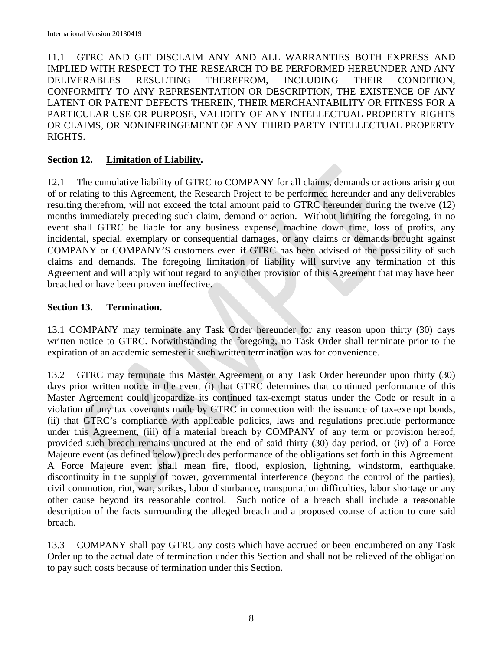11.1 GTRC AND GIT DISCLAIM ANY AND ALL WARRANTIES BOTH EXPRESS AND IMPLIED WITH RESPECT TO THE RESEARCH TO BE PERFORMED HEREUNDER AND ANY DELIVERABLES RESULTING THEREFROM, INCLUDING THEIR CONDITION, CONFORMITY TO ANY REPRESENTATION OR DESCRIPTION, THE EXISTENCE OF ANY LATENT OR PATENT DEFECTS THEREIN, THEIR MERCHANTABILITY OR FITNESS FOR A PARTICULAR USE OR PURPOSE, VALIDITY OF ANY INTELLECTUAL PROPERTY RIGHTS OR CLAIMS, OR NONINFRINGEMENT OF ANY THIRD PARTY INTELLECTUAL PROPERTY RIGHTS.

## **Section 12. Limitation of Liability.**

12.1 The cumulative liability of GTRC to COMPANY for all claims, demands or actions arising out of or relating to this Agreement, the Research Project to be performed hereunder and any deliverables resulting therefrom, will not exceed the total amount paid to GTRC hereunder during the twelve (12) months immediately preceding such claim, demand or action. Without limiting the foregoing, in no event shall GTRC be liable for any business expense, machine down time, loss of profits, any incidental, special, exemplary or consequential damages, or any claims or demands brought against COMPANY or COMPANY'S customers even if GTRC has been advised of the possibility of such claims and demands. The foregoing limitation of liability will survive any termination of this Agreement and will apply without regard to any other provision of this Agreement that may have been breached or have been proven ineffective.

## **Section 13. Termination.**

13.1 COMPANY may terminate any Task Order hereunder for any reason upon thirty (30) days written notice to GTRC. Notwithstanding the foregoing, no Task Order shall terminate prior to the expiration of an academic semester if such written termination was for convenience.

13.2 GTRC may terminate this Master Agreement or any Task Order hereunder upon thirty (30) days prior written notice in the event (i) that GTRC determines that continued performance of this Master Agreement could jeopardize its continued tax-exempt status under the Code or result in a violation of any tax covenants made by GTRC in connection with the issuance of tax-exempt bonds, (ii) that GTRC's compliance with applicable policies, laws and regulations preclude performance under this Agreement, (iii) of a material breach by COMPANY of any term or provision hereof, provided such breach remains uncured at the end of said thirty (30) day period, or (iv) of a Force Majeure event (as defined below) precludes performance of the obligations set forth in this Agreement. A Force Majeure event shall mean fire, flood, explosion, lightning, windstorm, earthquake, discontinuity in the supply of power, governmental interference (beyond the control of the parties), civil commotion, riot, war, strikes, labor disturbance, transportation difficulties, labor shortage or any other cause beyond its reasonable control. Such notice of a breach shall include a reasonable description of the facts surrounding the alleged breach and a proposed course of action to cure said breach.

13.3 COMPANY shall pay GTRC any costs which have accrued or been encumbered on any Task Order up to the actual date of termination under this Section and shall not be relieved of the obligation to pay such costs because of termination under this Section.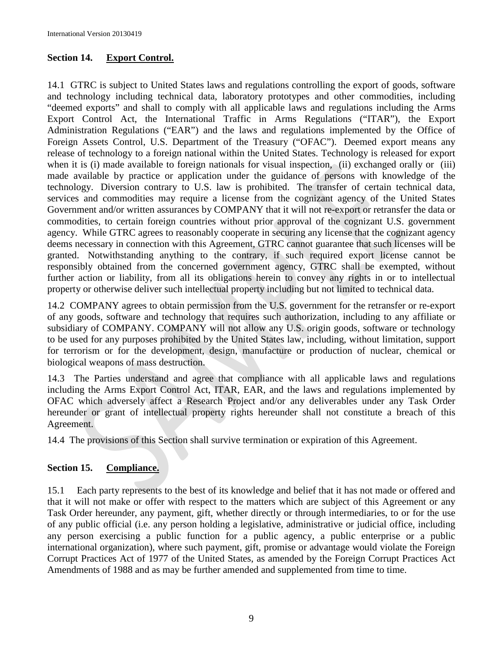## **Section 14. Export Control.**

14.1GTRC is subject to United States laws and regulations controlling the export of goods, software and technology including technical data, laboratory prototypes and other commodities, including "deemed exports" and shall to comply with all applicable laws and regulations including the Arms Export Control Act, the International Traffic in Arms Regulations ("ITAR"), the Export Administration Regulations ("EAR") and the laws and regulations implemented by the Office of Foreign Assets Control, U.S. Department of the Treasury ("OFAC"). Deemed export means any release of technology to a foreign national within the United States. Technology is released for export when it is (i) made available to foreign nationals for visual inspection, (ii) exchanged orally or (iii) made available by practice or application under the guidance of persons with knowledge of the technology. Diversion contrary to U.S. law is prohibited. The transfer of certain technical data, services and commodities may require a license from the cognizant agency of the United States Government and/or written assurances by COMPANY that it will not re-export or retransfer the data or commodities, to certain foreign countries without prior approval of the cognizant U.S. government agency. While GTRC agrees to reasonably cooperate in securing any license that the cognizant agency deems necessary in connection with this Agreement, GTRC cannot guarantee that such licenses will be granted. Notwithstanding anything to the contrary, if such required export license cannot be responsibly obtained from the concerned government agency, GTRC shall be exempted, without further action or liability, from all its obligations herein to convey any rights in or to intellectual property or otherwise deliver such intellectual property including but not limited to technical data.

14.2 COMPANY agrees to obtain permission from the U.S. government for the retransfer or re-export of any goods, software and technology that requires such authorization, including to any affiliate or subsidiary of COMPANY. COMPANY will not allow any U.S. origin goods, software or technology to be used for any purposes prohibited by the United States law, including, without limitation, support for terrorism or for the development, design, manufacture or production of nuclear, chemical or biological weapons of mass destruction.

14.3 The Parties understand and agree that compliance with all applicable laws and regulations including the Arms Export Control Act, ITAR, EAR, and the laws and regulations implemented by OFAC which adversely affect a Research Project and/or any deliverables under any Task Order hereunder or grant of intellectual property rights hereunder shall not constitute a breach of this Agreement.

14.4 The provisions of this Section shall survive termination or expiration of this Agreement.

## **Section 15. Compliance.**

15.1 Each party represents to the best of its knowledge and belief that it has not made or offered and that it will not make or offer with respect to the matters which are subject of this Agreement or any Task Order hereunder, any payment, gift, whether directly or through intermediaries, to or for the use of any public official (i.e. any person holding a legislative, administrative or judicial office, including any person exercising a public function for a public agency, a public enterprise or a public international organization), where such payment, gift, promise or advantage would violate the Foreign Corrupt Practices Act of 1977 of the United States, as amended by the Foreign Corrupt Practices Act Amendments of 1988 and as may be further amended and supplemented from time to time.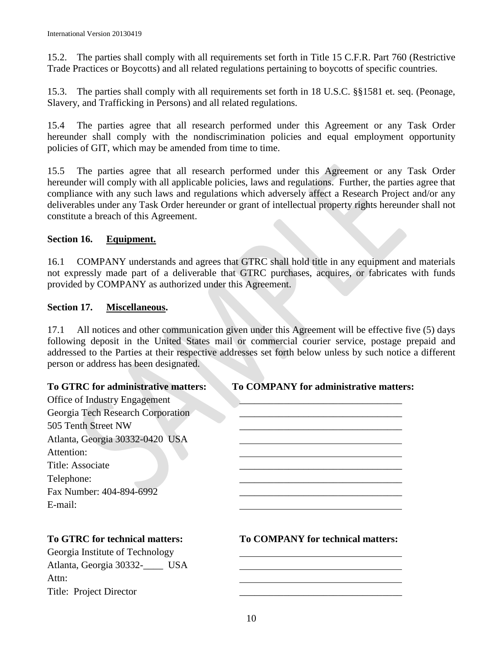15.2. The parties shall comply with all requirements set forth in Title 15 C.F.R. Part 760 (Restrictive Trade Practices or Boycotts) and all related regulations pertaining to boycotts of specific countries.

15.3. The parties shall comply with all requirements set forth in 18 U.S.C. §§1581 et. seq. (Peonage, Slavery, and Trafficking in Persons) and all related regulations.

15.4 The parties agree that all research performed under this Agreement or any Task Order hereunder shall comply with the nondiscrimination policies and equal employment opportunity policies of GIT, which may be amended from time to time.

15.5 The parties agree that all research performed under this Agreement or any Task Order hereunder will comply with all applicable policies, laws and regulations. Further, the parties agree that compliance with any such laws and regulations which adversely affect a Research Project and/or any deliverables under any Task Order hereunder or grant of intellectual property rights hereunder shall not constitute a breach of this Agreement.

## **Section 16. Equipment.**

16.1 COMPANY understands and agrees that GTRC shall hold title in any equipment and materials not expressly made part of a deliverable that GTRC purchases, acquires, or fabricates with funds provided by COMPANY as authorized under this Agreement.

## **Section 17. Miscellaneous.**

17.1 All notices and other communication given under this Agreement will be effective five (5) days following deposit in the United States mail or commercial courier service, postage prepaid and addressed to the Parties at their respective addresses set forth below unless by such notice a different person or address has been designated.

Office of Industry Engagement Georgia Tech Research Corporation 505 Tenth Street NW Atlanta, Georgia 30332-0420 USA Attention: Title: Associate Telephone: Fax Number: 404-894-6992 E-mail:

## **To GTRC for administrative matters: To COMPANY for administrative matters:**

Georgia Institute of Technology Atlanta, Georgia 30332-\_\_\_\_ USA Attn: Title: Project Director \_\_\_\_\_\_\_\_\_\_\_\_\_\_\_\_\_\_\_\_\_\_\_\_\_\_\_\_\_\_\_\_\_

**To GTRC for technical matters: To COMPANY for technical matters:**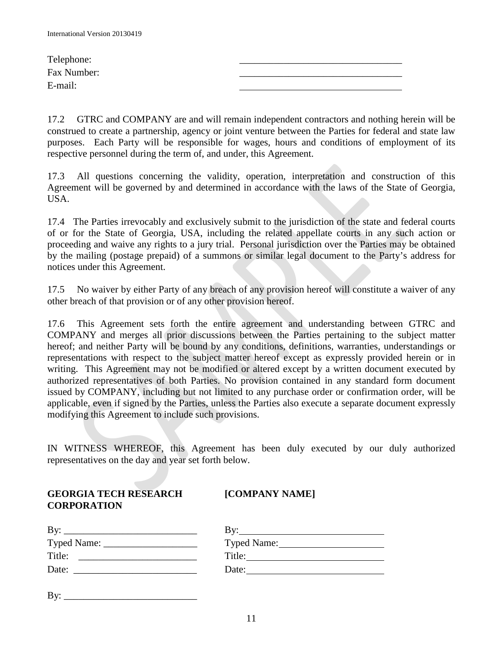| Telephone:  |  |
|-------------|--|
| Fax Number: |  |
| E-mail:     |  |

17.2 GTRC and COMPANY are and will remain independent contractors and nothing herein will be construed to create a partnership, agency or joint venture between the Parties for federal and state law purposes. Each Party will be responsible for wages, hours and conditions of employment of its respective personnel during the term of, and under, this Agreement.

17.3 All questions concerning the validity, operation, interpretation and construction of this Agreement will be governed by and determined in accordance with the laws of the State of Georgia, USA.

17.4 The Parties irrevocably and exclusively submit to the jurisdiction of the state and federal courts of or for the State of Georgia, USA, including the related appellate courts in any such action or proceeding and waive any rights to a jury trial. Personal jurisdiction over the Parties may be obtained by the mailing (postage prepaid) of a summons or similar legal document to the Party's address for notices under this Agreement.

17.5 No waiver by either Party of any breach of any provision hereof will constitute a waiver of any other breach of that provision or of any other provision hereof.

17.6 This Agreement sets forth the entire agreement and understanding between GTRC and COMPANY and merges all prior discussions between the Parties pertaining to the subject matter hereof; and neither Party will be bound by any conditions, definitions, warranties, understandings or representations with respect to the subject matter hereof except as expressly provided herein or in writing. This Agreement may not be modified or altered except by a written document executed by authorized representatives of both Parties. No provision contained in any standard form document issued by COMPANY, including but not limited to any purchase order or confirmation order, will be applicable, even if signed by the Parties, unless the Parties also execute a separate document expressly modifying this Agreement to include such provisions.

IN WITNESS WHEREOF, this Agreement has been duly executed by our duly authorized representatives on the day and year set forth below.

| <b>GEORGIA TECH RESEARCH</b><br><b>CORPORATION</b> | [COMPANY NAME]      |
|----------------------------------------------------|---------------------|
|                                                    | By: $\qquad \qquad$ |
|                                                    | Typed Name:         |
| Title:                                             | Title:              |
| Date:                                              | Date:               |

 $\overline{\phantom{a}}$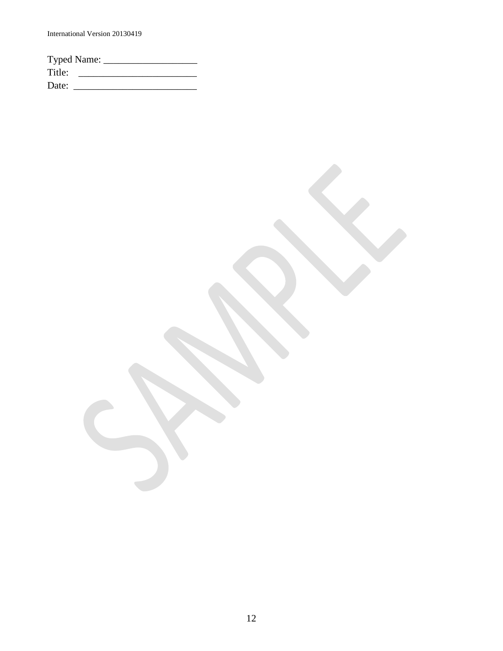International Version 20130419

| <b>Typed Name:</b> |  |  |
|--------------------|--|--|
| Title:             |  |  |
| Date:              |  |  |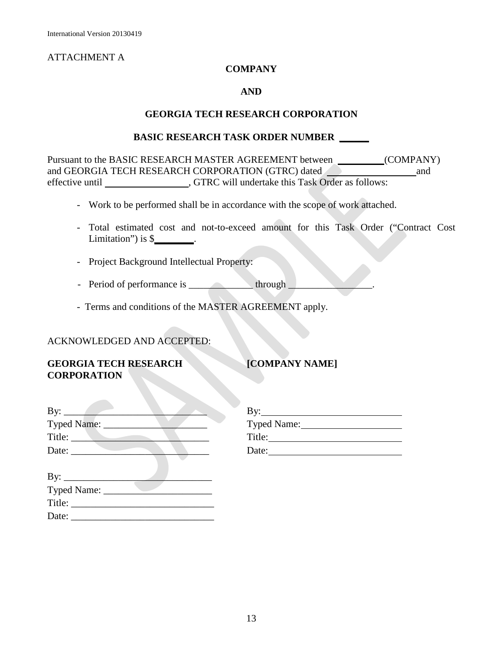## ATTACHMENT A

### **COMPANY**

#### **AND**

#### **GEORGIA TECH RESEARCH CORPORATION**

#### **BASIC RESEARCH TASK ORDER NUMBER \_\_\_\_\_\_**

Pursuant to the BASIC RESEARCH MASTER AGREEMENT between (COMPANY) and GEORGIA TECH RESEARCH CORPORATION (GTRC) dated and and effective until , GTRC will undertake this Task Order as follows:

- Work to be performed shall be in accordance with the scope of work attached.
- Total estimated cost and not-to-exceed amount for this Task Order ("Contract Cost Limitation") is \$**\_\_\_\_\_\_\_\_**.
- Project Background Intellectual Property:
- Period of performance is through
- Terms and conditions of the MASTER AGREEMENT apply.

#### ACKNOWLEDGED AND ACCEPTED:

Title: \_\_\_\_\_\_\_\_\_\_\_\_\_\_\_\_\_\_\_\_\_\_\_\_\_\_\_\_\_ Date:

### **GEORGIA TECH RESEARCH <b>[COMPANY NAME] CORPORATION**

| By: $\qquad \qquad$ | $\rm\,By:$<br>the control of the control of |
|---------------------|---------------------------------------------|
| Typed Name: _____   | Typed Name:                                 |
| Title:              | Title:                                      |
| Date:               | Date:                                       |
| By:                 |                                             |
| Typed Name:         |                                             |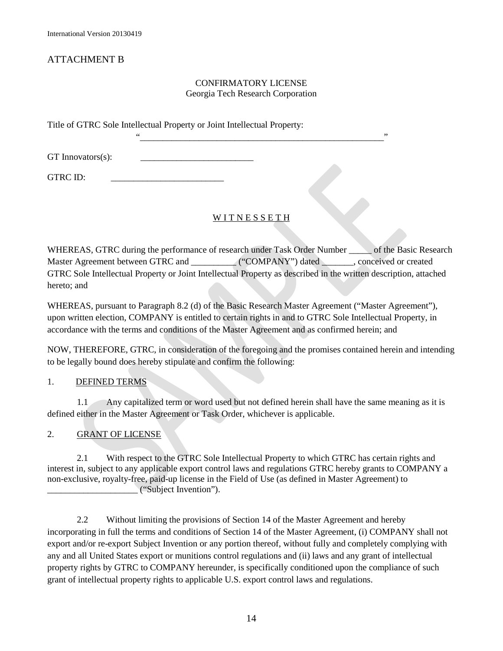## ATTACHMENT B

#### CONFIRMATORY LICENSE Georgia Tech Research Corporation

"\_\_\_\_\_\_\_\_\_\_\_\_\_\_\_\_\_\_\_\_\_\_\_\_\_\_\_\_\_\_\_\_\_\_\_\_\_\_\_\_\_\_\_\_\_\_\_\_\_\_\_\_\_\_"

Title of GTRC Sole Intellectual Property or Joint Intellectual Property:

GT Innovators(s):

GTRC ID:

#### WITNESSETH

WHEREAS, GTRC during the performance of research under Task Order Number of the Basic Research Master Agreement between GTRC and \_\_\_\_\_\_\_\_\_\_\_\_ ("COMPANY") dated \_\_\_\_\_\_\_, conceived or created GTRC Sole Intellectual Property or Joint Intellectual Property as described in the written description, attached hereto; and

WHEREAS, pursuant to Paragraph 8.2 (d) of the Basic Research Master Agreement ("Master Agreement"), upon written election, COMPANY is entitled to certain rights in and to GTRC Sole Intellectual Property, in accordance with the terms and conditions of the Master Agreement and as confirmed herein; and

NOW, THEREFORE, GTRC, in consideration of the foregoing and the promises contained herein and intending to be legally bound does hereby stipulate and confirm the following:

#### 1. DEFINED TERMS

1.1 Any capitalized term or word used but not defined herein shall have the same meaning as it is defined either in the Master Agreement or Task Order, whichever is applicable.

2. GRANT OF LICENSE

2.1 With respect to the GTRC Sole Intellectual Property to which GTRC has certain rights and interest in, subject to any applicable export control laws and regulations GTRC hereby grants to COMPANY a non-exclusive, royalty-free, paid-up license in the Field of Use (as defined in Master Agreement) to \_\_\_\_\_\_\_\_\_\_\_\_\_\_\_\_\_\_\_\_ ("Subject Invention").

2.2 Without limiting the provisions of Section 14 of the Master Agreement and hereby incorporating in full the terms and conditions of Section 14 of the Master Agreement, (i) COMPANY shall not export and/or re-export Subject Invention or any portion thereof, without fully and completely complying with any and all United States export or munitions control regulations and (ii) laws and any grant of intellectual property rights by GTRC to COMPANY hereunder, is specifically conditioned upon the compliance of such grant of intellectual property rights to applicable U.S. export control laws and regulations.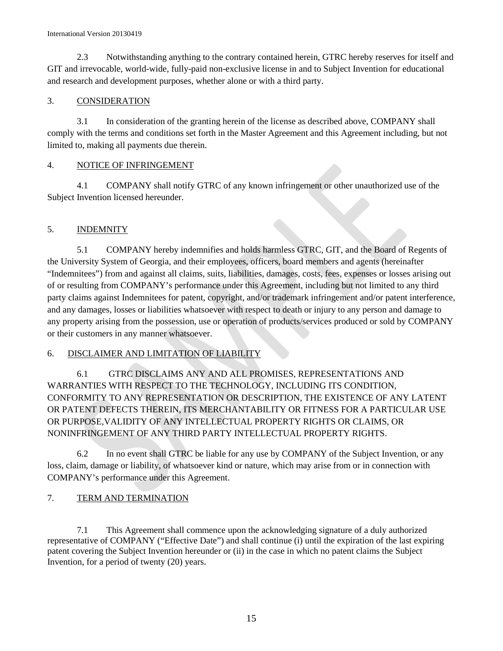#### International Version 20130419

2.3 Notwithstanding anything to the contrary contained herein, GTRC hereby reserves for itself and GIT and irrevocable, world-wide, fully-paid non-exclusive license in and to Subject Invention for educational and research and development purposes, whether alone or with a third party.

#### 3. CONSIDERATION

3.1 In consideration of the granting herein of the license as described above, COMPANY shall comply with the terms and conditions set forth in the Master Agreement and this Agreement including, but not limited to, making all payments due therein.

#### 4. NOTICE OF INFRINGEMENT

4.1 COMPANY shall notify GTRC of any known infringement or other unauthorized use of the Subject Invention licensed hereunder.

#### 5. INDEMNITY

5.1 COMPANY hereby indemnifies and holds harmless GTRC, GIT, and the Board of Regents of the University System of Georgia, and their employees, officers, board members and agents (hereinafter "Indemnitees") from and against all claims, suits, liabilities, damages, costs, fees, expenses or losses arising out of or resulting from COMPANY's performance under this Agreement, including but not limited to any third party claims against Indemnitees for patent, copyright, and/or trademark infringement and/or patent interference, and any damages, losses or liabilities whatsoever with respect to death or injury to any person and damage to any property arising from the possession, use or operation of products/services produced or sold by COMPANY or their customers in any manner whatsoever.

#### 6. DISCLAIMER AND LIMITATION OF LIABILITY

6.1 GTRC DISCLAIMS ANY AND ALL PROMISES, REPRESENTATIONS AND WARRANTIES WITH RESPECT TO THE TECHNOLOGY, INCLUDING ITS CONDITION, CONFORMITY TO ANY REPRESENTATION OR DESCRIPTION, THE EXISTENCE OF ANY LATENT OR PATENT DEFECTS THEREIN, ITS MERCHANTABILITY OR FITNESS FOR A PARTICULAR USE OR PURPOSE,VALIDITY OF ANY INTELLECTUAL PROPERTY RIGHTS OR CLAIMS, OR NONINFRINGEMENT OF ANY THIRD PARTY INTELLECTUAL PROPERTY RIGHTS.

6.2 In no event shall GTRC be liable for any use by COMPANY of the Subject Invention, or any loss, claim, damage or liability, of whatsoever kind or nature, which may arise from or in connection with COMPANY's performance under this Agreement.

#### 7. TERM AND TERMINATION

7.1 This Agreement shall commence upon the acknowledging signature of a duly authorized representative of COMPANY ("Effective Date") and shall continue (i) until the expiration of the last expiring patent covering the Subject Invention hereunder or (ii) in the case in which no patent claims the Subject Invention, for a period of twenty (20) years.